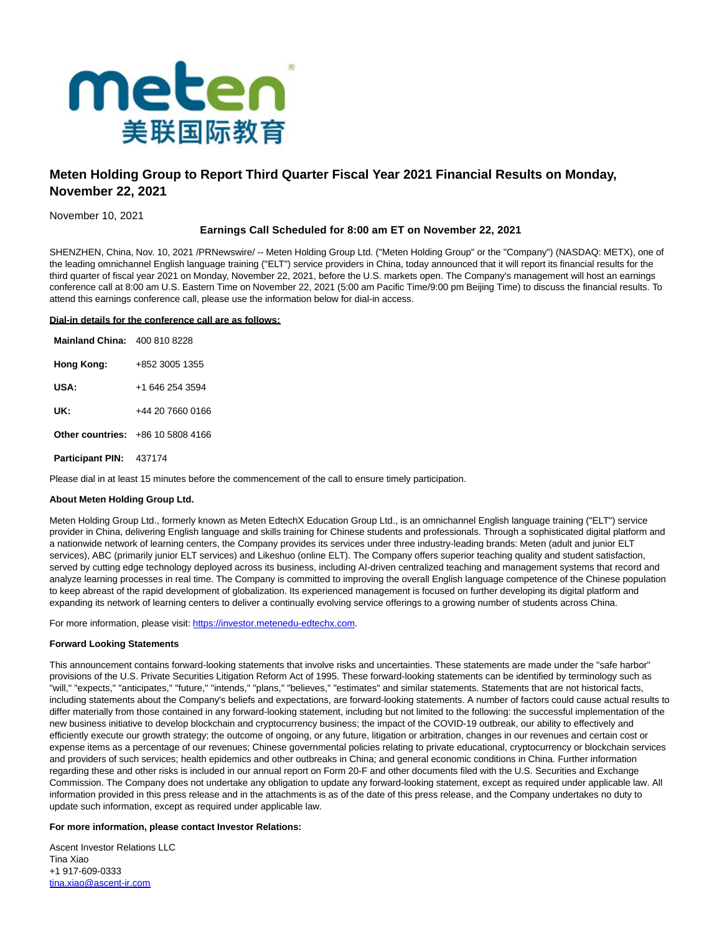

# **Meten Holding Group to Report Third Quarter Fiscal Year 2021 Financial Results on Monday, November 22, 2021**

November 10, 2021

## **Earnings Call Scheduled for 8:00 am ET on November 22, 2021**

SHENZHEN, China, Nov. 10, 2021 /PRNewswire/ -- Meten Holding Group Ltd. ("Meten Holding Group" or the "Company") (NASDAQ: METX), one of the leading omnichannel English language training ("ELT") service providers in China, today announced that it will report its financial results for the third quarter of fiscal year 2021 on Monday, November 22, 2021, before the U.S. markets open. The Company's management will host an earnings conference call at 8:00 am U.S. Eastern Time on November 22, 2021 (5:00 am Pacific Time/9:00 pm Beijing Time) to discuss the financial results. To attend this earnings conference call, please use the information below for dial-in access.

### **Dial-in details for the conference call are as follows:**

| <b>Mainland China: 400 810 8228</b> |                                          |
|-------------------------------------|------------------------------------------|
| Hong Kong:                          | +852 3005 1355                           |
| USA:                                | +1 646 254 3594                          |
| UK:                                 | +44 20 7660 0166                         |
|                                     | <b>Other countries: +86 10 5808 4166</b> |
| <b>Participant PIN: 437174</b>      |                                          |

Please dial in at least 15 minutes before the commencement of the call to ensure timely participation.

#### **About Meten Holding Group Ltd.**

Meten Holding Group Ltd., formerly known as Meten EdtechX Education Group Ltd., is an omnichannel English language training ("ELT") service provider in China, delivering English language and skills training for Chinese students and professionals. Through a sophisticated digital platform and a nationwide network of learning centers, the Company provides its services under three industry-leading brands: Meten (adult and junior ELT services), ABC (primarily junior ELT services) and Likeshuo (online ELT). The Company offers superior teaching quality and student satisfaction, served by cutting edge technology deployed across its business, including AI-driven centralized teaching and management systems that record and analyze learning processes in real time. The Company is committed to improving the overall English language competence of the Chinese population to keep abreast of the rapid development of globalization. Its experienced management is focused on further developing its digital platform and expanding its network of learning centers to deliver a continually evolving service offerings to a growing number of students across China.

For more information, please visit: [https://investor.metenedu-edtechx.com.](https://investor.metenedu-edtechx.com/)

#### **Forward Looking Statements**

This announcement contains forward-looking statements that involve risks and uncertainties. These statements are made under the "safe harbor" provisions of the U.S. Private Securities Litigation Reform Act of 1995. These forward-looking statements can be identified by terminology such as "will," "expects," "anticipates," "future," "intends," "plans," "believes," "estimates" and similar statements. Statements that are not historical facts, including statements about the Company's beliefs and expectations, are forward-looking statements. A number of factors could cause actual results to differ materially from those contained in any forward-looking statement, including but not limited to the following: the successful implementation of the new business initiative to develop blockchain and cryptocurrency business; the impact of the COVID-19 outbreak, our ability to effectively and efficiently execute our growth strategy; the outcome of ongoing, or any future, litigation or arbitration, changes in our revenues and certain cost or expense items as a percentage of our revenues; Chinese governmental policies relating to private educational, cryptocurrency or blockchain services and providers of such services; health epidemics and other outbreaks in China; and general economic conditions in China. Further information regarding these and other risks is included in our annual report on Form 20-F and other documents filed with the U.S. Securities and Exchange Commission. The Company does not undertake any obligation to update any forward-looking statement, except as required under applicable law. All information provided in this press release and in the attachments is as of the date of this press release, and the Company undertakes no duty to update such information, except as required under applicable law.

#### **For more information, please contact Investor Relations:**

Ascent Investor Relations LLC Tina Xiao +1 917-609-0333 [tina.xiao@ascent-ir.com](mailto:tina.xiao@ascent-ir.com)